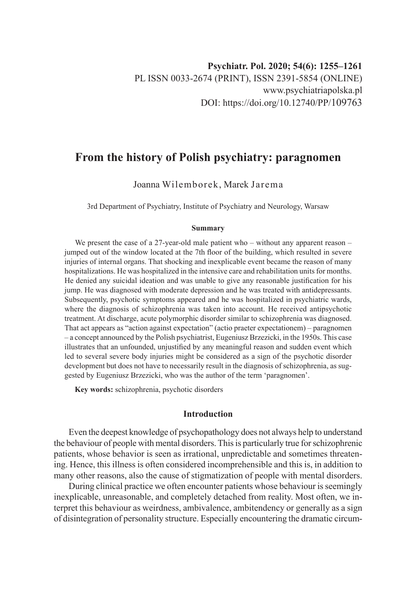# **From the history of Polish psychiatry: paragnomen**

Joanna Wilemborek, Marek Jarema

3rd Department of Psychiatry, Institute of Psychiatry and Neurology, Warsaw

#### **Summary**

We present the case of a 27-year-old male patient who – without any apparent reason – jumped out of the window located at the 7th floor of the building, which resulted in severe injuries of internal organs. That shocking and inexplicable event became the reason of many hospitalizations. He was hospitalized in the intensive care and rehabilitation units for months. He denied any suicidal ideation and was unable to give any reasonable justification for his jump. He was diagnosed with moderate depression and he was treated with antidepressants. Subsequently, psychotic symptoms appeared and he was hospitalized in psychiatric wards, where the diagnosis of schizophrenia was taken into account. He received antipsychotic treatment. At discharge, acute polymorphic disorder similar to schizophrenia was diagnosed. That act appears as "action against expectation" (actio praeter expectationem) – paragnomen – a concept announced by the Polish psychiatrist, Eugeniusz Brzezicki, in the 1950s. This case illustrates that an unfounded, unjustified by any meaningful reason and sudden event which led to several severe body injuries might be considered as a sign of the psychotic disorder development but does not have to necessarily result in the diagnosis of schizophrenia, as suggested by Eugeniusz Brzezicki, who was the author of the term 'paragnomen'.

**Key words:** schizophrenia, psychotic disorders

## **Introduction**

Even the deepest knowledge of psychopathology does not always help to understand the behaviour of people with mental disorders. This is particularly true for schizophrenic patients, whose behavior is seen as irrational, unpredictable and sometimes threatening. Hence, this illness is often considered incomprehensible and this is, in addition to many other reasons, also the cause of stigmatization of people with mental disorders.

During clinical practice we often encounter patients whose behaviour is seemingly inexplicable, unreasonable, and completely detached from reality. Most often, we interpret this behaviour as weirdness, ambivalence, ambitendency or generally as a sign of disintegration of personality structure. Especially encountering the dramatic circum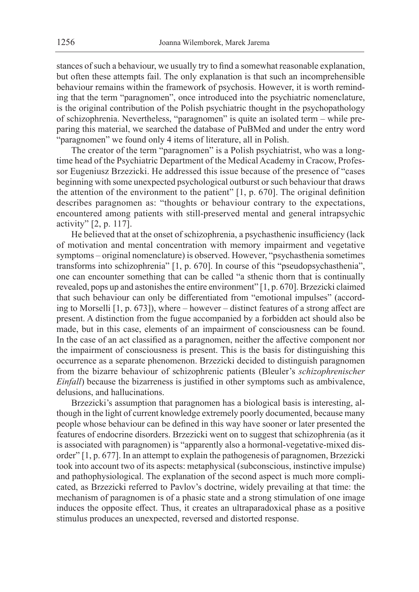stances of such a behaviour, we usually try to find a somewhat reasonable explanation, but often these attempts fail. The only explanation is that such an incomprehensible behaviour remains within the framework of psychosis. However, it is worth reminding that the term "paragnomen", once introduced into the psychiatric nomenclature, is the original contribution of the Polish psychiatric thought in the psychopathology of schizophrenia. Nevertheless, "paragnomen" is quite an isolated term – while preparing this material, we searched the database of PuBMed and under the entry word "paragnomen" we found only 4 items of literature, all in Polish.

The creator of the term "paragnomen" is a Polish psychiatrist, who was a longtime head of the Psychiatric Department of the Medical Academy in Cracow, Professor Eugeniusz Brzezicki. He addressed this issue because of the presence of "cases beginning with some unexpected psychological outburst or such behaviour that draws the attention of the environment to the patient" [1, p. 670]. The original definition describes paragnomen as: "thoughts or behaviour contrary to the expectations, encountered among patients with still-preserved mental and general intrapsychic activity" [2, p. 117].

He believed that at the onset of schizophrenia, a psychasthenic insufficiency (lack of motivation and mental concentration with memory impairment and vegetative symptoms – original nomenclature) is observed. However, "psychasthenia sometimes transforms into schizophrenia" [1, p. 670]. In course of this "pseudopsychasthenia", one can encounter something that can be called "a sthenic thorn that is continually revealed, pops up and astonishes the entire environment" [1, p. 670]. Brzezicki claimed that such behaviour can only be differentiated from "emotional impulses" (according to Morselli [1, p. 673]), where – however – distinct features of a strong affect are present. A distinction from the fugue accompanied by a forbidden act should also be made, but in this case, elements of an impairment of consciousness can be found. In the case of an act classified as a paragnomen, neither the affective component nor the impairment of consciousness is present. This is the basis for distinguishing this occurrence as a separate phenomenon. Brzezicki decided to distinguish paragnomen from the bizarre behaviour of schizophrenic patients (Bleuler's *schizophrenischer Einfall*) because the bizarreness is justified in other symptoms such as ambivalence, delusions, and hallucinations.

Brzezicki's assumption that paragnomen has a biological basis is interesting, although in the light of current knowledge extremely poorly documented, because many people whose behaviour can be defined in this way have sooner or later presented the features of endocrine disorders. Brzezicki went on to suggest that schizophrenia (as it is associated with paragnomen) is "apparently also a hormonal-vegetative-mixed disorder" [1, p. 677]. In an attempt to explain the pathogenesis of paragnomen, Brzezicki took into account two of its aspects: metaphysical (subconscious, instinctive impulse) and pathophysiological. The explanation of the second aspect is much more complicated, as Brzezicki referred to Pavlov's doctrine, widely prevailing at that time: the mechanism of paragnomen is of a phasic state and a strong stimulation of one image induces the opposite effect. Thus, it creates an ultraparadoxical phase as a positive stimulus produces an unexpected, reversed and distorted response.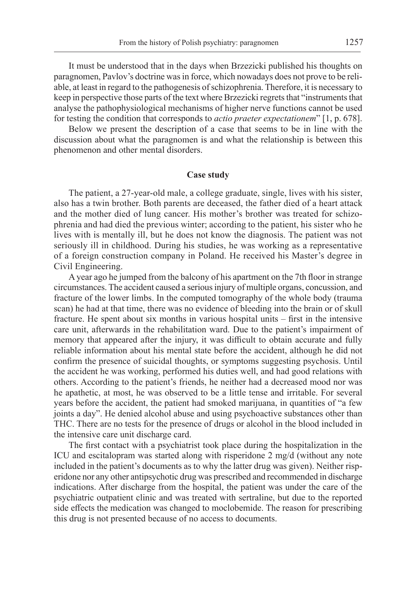It must be understood that in the days when Brzezicki published his thoughts on paragnomen, Pavlov's doctrine was in force, which nowadays does not prove to be reliable, at least in regard to the pathogenesis of schizophrenia. Therefore, it is necessary to keep in perspective those parts of the text where Brzezicki regrets that "instruments that analyse the pathophysiological mechanisms of higher nerve functions cannot be used for testing the condition that corresponds to *actio praeter expectationem*" [1, p. 678].

Below we present the description of a case that seems to be in line with the discussion about what the paragnomen is and what the relationship is between this phenomenon and other mental disorders.

### **Case study**

The patient, a 27-year-old male, a college graduate, single, lives with his sister, also has a twin brother. Both parents are deceased, the father died of a heart attack and the mother died of lung cancer. His mother's brother was treated for schizophrenia and had died the previous winter; according to the patient, his sister who he lives with is mentally ill, but he does not know the diagnosis. The patient was not seriously ill in childhood. During his studies, he was working as a representative of a foreign construction company in Poland. He received his Master's degree in Civil Engineering.

A year ago he jumped from the balcony of his apartment on the 7th floor in strange circumstances. The accident caused a serious injury of multiple organs, concussion, and fracture of the lower limbs. In the computed tomography of the whole body (trauma scan) he had at that time, there was no evidence of bleeding into the brain or of skull fracture. He spent about six months in various hospital units – first in the intensive care unit, afterwards in the rehabilitation ward. Due to the patient's impairment of memory that appeared after the injury, it was difficult to obtain accurate and fully reliable information about his mental state before the accident, although he did not confirm the presence of suicidal thoughts, or symptoms suggesting psychosis. Until the accident he was working, performed his duties well, and had good relations with others. According to the patient's friends, he neither had a decreased mood nor was he apathetic, at most, he was observed to be a little tense and irritable. For several years before the accident, the patient had smoked marijuana, in quantities of "a few joints a day". He denied alcohol abuse and using psychoactive substances other than THC. There are no tests for the presence of drugs or alcohol in the blood included in the intensive care unit discharge card.

The first contact with a psychiatrist took place during the hospitalization in the ICU and escitalopram was started along with risperidone 2 mg/d (without any note included in the patient's documents as to why the latter drug was given). Neither risperidone nor any other antipsychotic drug was prescribed and recommended in discharge indications. After discharge from the hospital, the patient was under the care of the psychiatric outpatient clinic and was treated with sertraline, but due to the reported side effects the medication was changed to moclobemide. The reason for prescribing this drug is not presented because of no access to documents.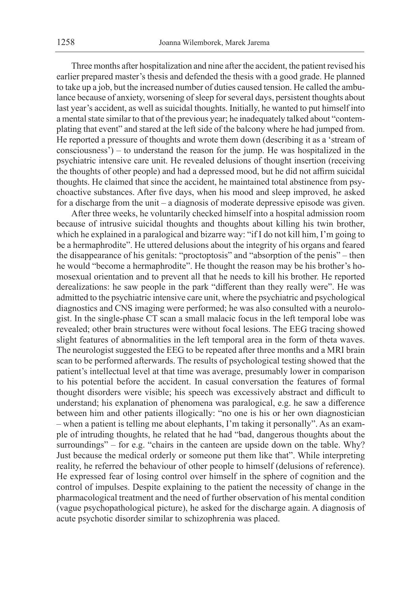Three months after hospitalization and nine after the accident, the patient revised his earlier prepared master's thesis and defended the thesis with a good grade. He planned to take up a job, but the increased number of duties caused tension. He called the ambulance because of anxiety, worsening of sleep for several days, persistent thoughts about last year's accident, as well as suicidal thoughts. Initially, he wanted to put himself into a mental state similar to that of the previous year; he inadequately talked about "contemplating that event" and stared at the left side of the balcony where he had jumped from. He reported a pressure of thoughts and wrote them down (describing it as a 'stream of consciousness') – to understand the reason for the jump. He was hospitalized in the psychiatric intensive care unit. He revealed delusions of thought insertion (receiving the thoughts of other people) and had a depressed mood, but he did not affirm suicidal thoughts. He claimed that since the accident, he maintained total abstinence from psychoactive substances. After five days, when his mood and sleep improved, he asked for a discharge from the unit – a diagnosis of moderate depressive episode was given.

After three weeks, he voluntarily checked himself into a hospital admission room because of intrusive suicidal thoughts and thoughts about killing his twin brother, which he explained in a paralogical and bizarre way: "if I do not kill him, I'm going to be a hermaphrodite". He uttered delusions about the integrity of his organs and feared the disappearance of his genitals: "proctoptosis" and "absorption of the penis" – then he would "become a hermaphrodite". He thought the reason may be his brother's homosexual orientation and to prevent all that he needs to kill his brother. He reported derealizations: he saw people in the park "different than they really were". He was admitted to the psychiatric intensive care unit, where the psychiatric and psychological diagnostics and CNS imaging were performed; he was also consulted with a neurologist. In the single-phase CT scan a small malacic focus in the left temporal lobe was revealed; other brain structures were without focal lesions. The EEG tracing showed slight features of abnormalities in the left temporal area in the form of theta waves. The neurologist suggested the EEG to be repeated after three months and a MRI brain scan to be performed afterwards. The results of psychological testing showed that the patient's intellectual level at that time was average, presumably lower in comparison to his potential before the accident. In casual conversation the features of formal thought disorders were visible; his speech was excessively abstract and difficult to understand; his explanation of phenomena was paralogical, e.g. he saw a difference between him and other patients illogically: "no one is his or her own diagnostician – when a patient is telling me about elephants, I'm taking it personally". As an example of intruding thoughts, he related that he had "bad, dangerous thoughts about the surroundings" – for e.g. "chairs in the canteen are upside down on the table. Why? Just because the medical orderly or someone put them like that". While interpreting reality, he referred the behaviour of other people to himself (delusions of reference). He expressed fear of losing control over himself in the sphere of cognition and the control of impulses. Despite explaining to the patient the necessity of change in the pharmacological treatment and the need of further observation of his mental condition (vague psychopathological picture), he asked for the discharge again. A diagnosis of acute psychotic disorder similar to schizophrenia was placed.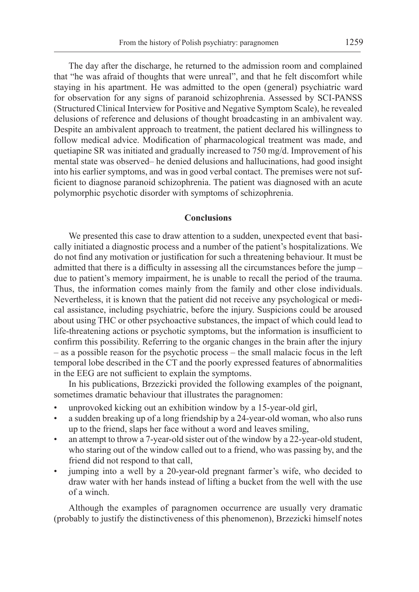The day after the discharge, he returned to the admission room and complained that "he was afraid of thoughts that were unreal", and that he felt discomfort while staying in his apartment. He was admitted to the open (general) psychiatric ward for observation for any signs of paranoid schizophrenia. Assessed by SCI-PANSS (Structured Clinical Interview for Positive and Negative Symptom Scale), he revealed delusions of reference and delusions of thought broadcasting in an ambivalent way. Despite an ambivalent approach to treatment, the patient declared his willingness to follow medical advice. Modification of pharmacological treatment was made, and quetiapine SR was initiated and gradually increased to 750 mg/d. Improvement of his mental state was observed– he denied delusions and hallucinations, had good insight into his earlier symptoms, and was in good verbal contact. The premises were not sufficient to diagnose paranoid schizophrenia. The patient was diagnosed with an acute polymorphic psychotic disorder with symptoms of schizophrenia.

#### **Conclusions**

We presented this case to draw attention to a sudden, unexpected event that basically initiated a diagnostic process and a number of the patient's hospitalizations. We do not find any motivation or justification for such a threatening behaviour. It must be admitted that there is a difficulty in assessing all the circumstances before the jump – due to patient's memory impairment, he is unable to recall the period of the trauma. Thus, the information comes mainly from the family and other close individuals. Nevertheless, it is known that the patient did not receive any psychological or medical assistance, including psychiatric, before the injury. Suspicions could be aroused about using THC or other psychoactive substances, the impact of which could lead to life-threatening actions or psychotic symptoms, but the information is insufficient to confirm this possibility. Referring to the organic changes in the brain after the injury – as a possible reason for the psychotic process – the small malacic focus in the left temporal lobe described in the CT and the poorly expressed features of abnormalities in the EEG are not sufficient to explain the symptoms.

In his publications, Brzezicki provided the following examples of the poignant, sometimes dramatic behaviour that illustrates the paragnomen:

- unprovoked kicking out an exhibition window by a 15-year-old girl,
- a sudden breaking up of a long friendship by a 24-year-old woman, who also runs up to the friend, slaps her face without a word and leaves smiling,
- an attempt to throw a 7-year-old sister out of the window by a 22-year-old student, who staring out of the window called out to a friend, who was passing by, and the friend did not respond to that call,
- jumping into a well by a 20-year-old pregnant farmer's wife, who decided to draw water with her hands instead of lifting a bucket from the well with the use of a winch.

Although the examples of paragnomen occurrence are usually very dramatic (probably to justify the distinctiveness of this phenomenon), Brzezicki himself notes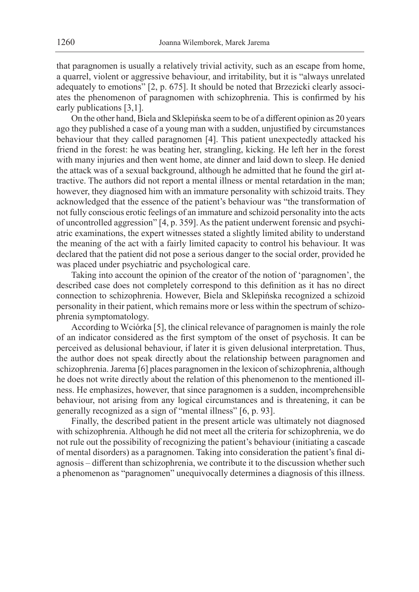that paragnomen is usually a relatively trivial activity, such as an escape from home, a quarrel, violent or aggressive behaviour, and irritability, but it is "always unrelated adequately to emotions" [2, p. 675]. It should be noted that Brzezicki clearly associates the phenomenon of paragnomen with schizophrenia. This is confirmed by his early publications [3,1].

On the other hand, Biela and Sklepińska seem to be of a different opinion as 20 years ago they published a case of a young man with a sudden, unjustified by circumstances behaviour that they called paragnomen [4]. This patient unexpectedly attacked his friend in the forest: he was beating her, strangling, kicking. He left her in the forest with many injuries and then went home, ate dinner and laid down to sleep. He denied the attack was of a sexual background, although he admitted that he found the girl attractive. The authors did not report a mental illness or mental retardation in the man; however, they diagnosed him with an immature personality with schizoid traits. They acknowledged that the essence of the patient's behaviour was "the transformation of not fully conscious erotic feelings of an immature and schizoid personality into the acts of uncontrolled aggression" [4, p. 359]. As the patient underwent forensic and psychiatric examinations, the expert witnesses stated a slightly limited ability to understand the meaning of the act with a fairly limited capacity to control his behaviour. It was declared that the patient did not pose a serious danger to the social order, provided he was placed under psychiatric and psychological care.

Taking into account the opinion of the creator of the notion of 'paragnomen', the described case does not completely correspond to this definition as it has no direct connection to schizophrenia. However, Biela and Sklepińska recognized a schizoid personality in their patient, which remains more or less within the spectrum of schizophrenia symptomatology.

According to Wciórka [5], the clinical relevance of paragnomen is mainly the role of an indicator considered as the first symptom of the onset of psychosis. It can be perceived as delusional behaviour, if later it is given delusional interpretation. Thus, the author does not speak directly about the relationship between paragnomen and schizophrenia. Jarema [6] places paragnomen in the lexicon of schizophrenia, although he does not write directly about the relation of this phenomenon to the mentioned illness. He emphasizes, however, that since paragnomen is a sudden, incomprehensible behaviour, not arising from any logical circumstances and is threatening, it can be generally recognized as a sign of "mental illness" [6, p. 93].

Finally, the described patient in the present article was ultimately not diagnosed with schizophrenia. Although he did not meet all the criteria for schizophrenia, we do not rule out the possibility of recognizing the patient's behaviour (initiating a cascade of mental disorders) as a paragnomen. Taking into consideration the patient's final diagnosis – different than schizophrenia, we contribute it to the discussion whether such a phenomenon as "paragnomen" unequivocally determines a diagnosis of this illness.